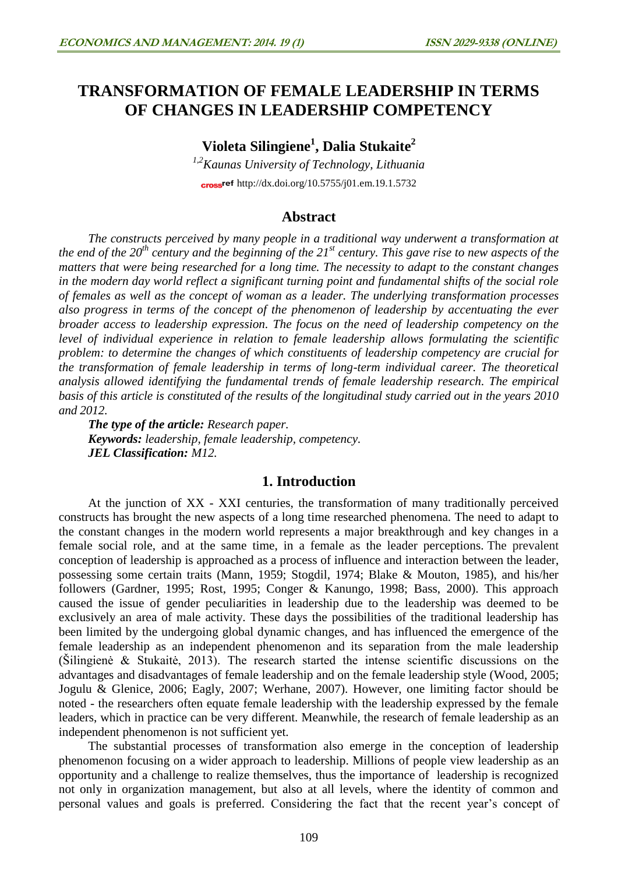# **TRANSFORMATION OF FEMALE LEADERSHIP IN TERMS OF CHANGES IN LEADERSHIP COMPETENCY**

**Violeta Silingiene<sup>1</sup> , Dalia Stukaite<sup>2</sup>**

*1,2Kaunas University of Technology, Lithuania* cross<sup>ref</sup> <http://dx.doi.org/10.5755/j01.em.19.1.5732>

# **Abstract**

*The constructs perceived by many people in a traditional way underwent a transformation at the end of the 20th century and the beginning of the 21st century. This gave rise to new aspects of the matters that were being researched for a long time. The necessity to adapt to the constant changes in the modern day world reflect a significant turning point and fundamental shifts of the social role of females as well as the concept of woman as a leader. The underlying transformation processes also progress in terms of the concept of the phenomenon of leadership by accentuating the ever broader access to leadership expression. The focus on the need of leadership competency on the level of individual experience in relation to female leadership allows formulating the scientific problem: to determine the changes of which constituents of leadership competency are crucial for the transformation of female leadership in terms of long-term individual career. The theoretical analysis allowed identifying the fundamental trends of female leadership research. The empirical basis of this article is constituted of the results of the longitudinal study carried out in the years 2010 and 2012.*

*The type of the article: Research paper. Keywords: leadership, female leadership, competency. JEL Classification: M12.*

## **1. Introduction**

At the junction of XX - XXI centuries, the transformation of many traditionally perceived constructs has brought the new aspects of a long time researched phenomena. The need to adapt to the constant changes in the modern world represents a major breakthrough and key changes in a female social role, and at the same time, in a female as the leader perceptions. The prevalent conception of leadership is approached as a process of influence and interaction between the leader, possessing some certain traits (Mann, 1959; Stogdil, 1974; Blake & Mouton, 1985), and his/her followers (Gardner, 1995; Rost, 1995; Conger & Kanungo, 1998; Bass, 2000). This approach caused the issue of gender peculiarities in leadership due to the leadership was deemed to be exclusively an area of male activity. These days the possibilities of the traditional leadership has been limited by the undergoing global dynamic changes, and has influenced the emergence of the female leadership as an independent phenomenon and its separation from the male leadership (Šilingienė & Stukaitė, 2013). The research started the intense scientific discussions on the advantages and disadvantages of female leadership and on the female leadership style (Wood, 2005; Jogulu & Glenice, 2006; Eagly, 2007; Werhane, 2007). However, one limiting factor should be noted - the researchers often equate female leadership with the leadership expressed by the female leaders, which in practice can be very different. Meanwhile, the research of female leadership as an independent phenomenon is not sufficient yet.

The substantial processes of transformation also emerge in the conception of leadership phenomenon focusing on a wider approach to leadership. Millions of people view leadership as an opportunity and a challenge to realize themselves, thus the importance of leadership is recognized not only in organization management, but also at all levels, where the identity of common and personal values and goals is preferred. Considering the fact that the recent year's concept of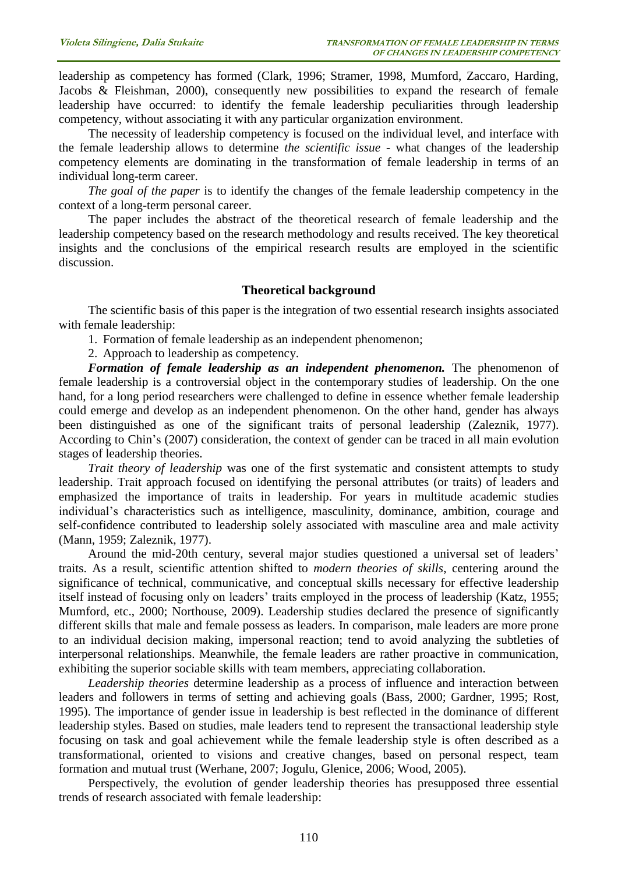leadership as competency has formed (Clark, 1996; Stramer, 1998, Mumford, Zaccaro, Harding, Jacobs & Fleishman, 2000), consequently new possibilities to expand the research of female leadership have occurred: to identify the female leadership peculiarities through leadership competency, without associating it with any particular organization environment.

The necessity of leadership competency is focused on the individual level, and interface with the female leadership allows to determine *the scientific issue* - what changes of the leadership competency elements are dominating in the transformation of female leadership in terms of an individual long-term career.

*The goal of the paper* is to identify the changes of the female leadership competency in the context of a long-term personal career.

The paper includes the abstract of the theoretical research of female leadership and the leadership competency based on the research methodology and results received. The key theoretical insights and the conclusions of the empirical research results are employed in the scientific discussion.

### **Theoretical background**

The scientific basis of this paper is the integration of two essential research insights associated with female leadership:

1. Formation of female leadership as an independent phenomenon;

2. Approach to leadership as competency.

*Formation of female leadership as an independent phenomenon.* The phenomenon of female leadership is a controversial object in the contemporary studies of leadership. On the one hand, for a long period researchers were challenged to define in essence whether female leadership could emerge and develop as an independent phenomenon. On the other hand, gender has always been distinguished as one of the significant traits of personal leadership (Zaleznik, 1977). According to Chin's (2007) consideration, the context of gender can be traced in all main evolution stages of leadership theories.

*Trait theory of leadership* was one of the first systematic and consistent attempts to study leadership. Trait approach focused on identifying the personal attributes (or traits) of leaders and emphasized the importance of traits in leadership. For years in multitude academic studies individual's characteristics such as intelligence, masculinity, dominance, ambition, courage and self-confidence contributed to leadership solely associated with masculine area and male activity (Mann, 1959; Zaleznik, 1977).

Around the mid-20th century, several major studies questioned a universal set of leaders' traits. As a result, scientific attention shifted to *modern theories of skills*, centering around the significance of technical, communicative, and conceptual skills necessary for effective leadership itself instead of focusing only on leaders' traits employed in the process of leadership (Katz, 1955; Mumford, etc., 2000; Northouse, 2009). Leadership studies declared the presence of significantly different skills that male and female possess as leaders. In comparison, male leaders are more prone to an individual decision making, impersonal reaction; tend to avoid analyzing the subtleties of interpersonal relationships. Meanwhile, the female leaders are rather proactive in communication, exhibiting the superior sociable skills with team members, appreciating collaboration.

*Leadership theories* determine leadership as a process of influence and interaction between leaders and followers in terms of setting and achieving goals (Bass, 2000; Gardner, 1995; Rost, 1995). The importance of gender issue in leadership is best reflected in the dominance of different leadership styles. Based on studies, male leaders tend to represent the transactional leadership style focusing on task and goal achievement while the female leadership style is often described as a transformational, oriented to visions and creative changes, based on personal respect, team formation and mutual trust (Werhane, 2007; Jogulu, Glenice, 2006; Wood, 2005).

Perspectively, the evolution of gender leadership theories has presupposed three essential trends of research associated with female leadership: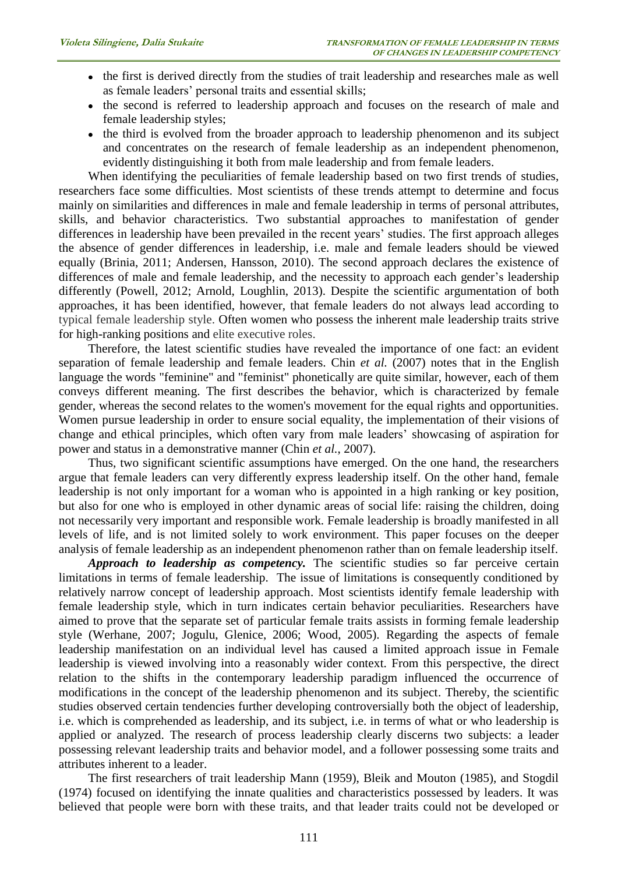- the first is derived directly from the studies of trait leadership and researches male as well as female leaders' personal traits and essential skills;
- the second is referred to leadership approach and focuses on the research of male and female leadership styles;
- the third is evolved from the broader approach to leadership phenomenon and its subject and concentrates on the research of female leadership as an independent phenomenon, evidently distinguishing it both from male leadership and from female leaders.

When identifying the peculiarities of female leadership based on two first trends of studies, researchers face some difficulties. Most scientists of these trends attempt to determine and focus mainly on similarities and differences in male and female leadership in terms of personal attributes, skills, and behavior characteristics. Two substantial approaches to manifestation of gender differences in leadership have been prevailed in the recent years' studies. The first approach alleges the absence of gender differences in leadership, i.e. male and female leaders should be viewed equally (Brinia, 2011; Andersen, Hansson, 2010). The second approach declares the existence of differences of male and female leadership, and the necessity to approach each gender's leadership differently (Powell, 2012; Arnold, Loughlin, 2013). Despite the scientific argumentation of both approaches, it has been identified, however, that female leaders do not always lead according to typical female leadership style. Often women who possess the inherent male leadership traits strive for high-ranking positions and elite executive roles.

Therefore, the latest scientific studies have revealed the importance of one fact: an evident separation of female leadership and female leaders. Chin *et al.* (2007) notes that in the English language the words "feminine" and "feminist" phonetically are quite similar, however, each of them conveys different meaning. The first describes the behavior, which is characterized by female gender, whereas the second relates to the women's movement for the equal rights and opportunities. Women pursue leadership in order to ensure social equality, the implementation of their visions of change and ethical principles, which often vary from male leaders' showcasing of aspiration for power and status in a demonstrative manner (Chin *et al.*, 2007).

Thus, two significant scientific assumptions have emerged. On the one hand, the researchers argue that female leaders can very differently express leadership itself. On the other hand, female leadership is not only important for a woman who is appointed in a high ranking or key position, but also for one who is employed in other dynamic areas of social life: raising the children, doing not necessarily very important and responsible work. Female leadership is broadly manifested in all levels of life, and is not limited solely to work environment. This paper focuses on the deeper analysis of female leadership as an independent phenomenon rather than on female leadership itself.

*Approach to leadership as competency.* The scientific studies so far perceive certain limitations in terms of female leadership. The issue of limitations is consequently conditioned by relatively narrow concept of leadership approach. Most scientists identify female leadership with female leadership style, which in turn indicates certain behavior peculiarities. Researchers have aimed to prove that the separate set of particular female traits assists in forming female leadership style (Werhane, 2007; Jogulu, Glenice, 2006; Wood, 2005). Regarding the aspects of female leadership manifestation on an individual level has caused a limited approach issue in Female leadership is viewed involving into a reasonably wider context. From this perspective, the direct relation to the shifts in the contemporary leadership paradigm influenced the occurrence of modifications in the concept of the leadership phenomenon and its subject. Thereby, the scientific studies observed certain tendencies further developing controversially both the object of leadership, i.e. which is comprehended as leadership, and its subject, i.e. in terms of what or who leadership is applied or analyzed. The research of process leadership clearly discerns two subjects: a leader possessing relevant leadership traits and behavior model, and a follower possessing some traits and attributes inherent to a leader.

The first researchers of trait leadership Mann (1959), Bleik and Mouton (1985), and Stogdil (1974) focused on identifying the innate qualities and characteristics possessed by leaders. It was believed that people were born with these traits, and that leader traits could not be developed or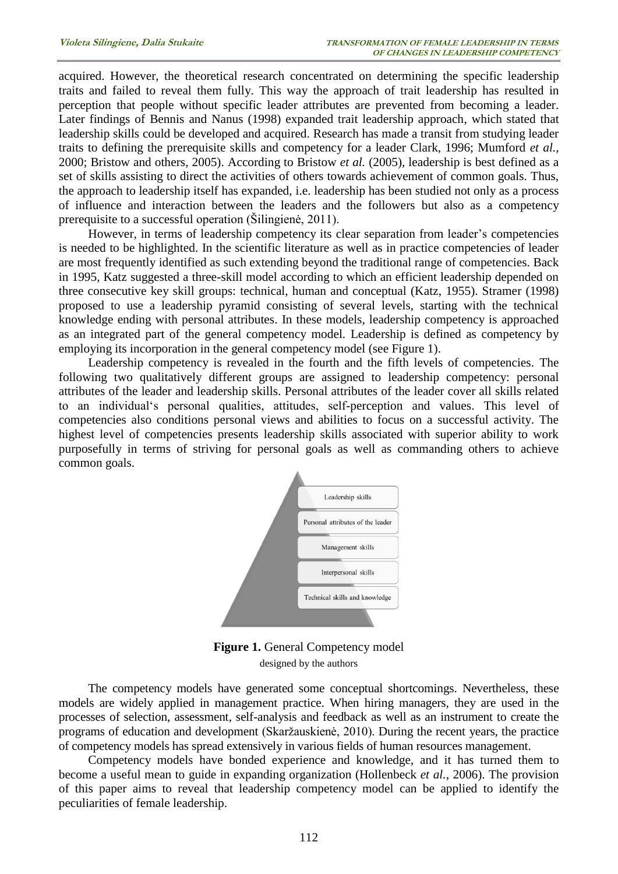acquired. However, the theoretical research concentrated on determining the specific leadership traits and failed to reveal them fully. This way the approach of trait leadership has resulted in perception that people without specific leader attributes are prevented from becoming a leader. Later findings of Bennis and Nanus (1998) expanded trait leadership approach, which stated that leadership skills could be developed and acquired. Research has made a transit from studying leader traits to defining the prerequisite skills and competency for a leader Clark, 1996; Mumford *et al.*, 2000; Bristow and others, 2005). According to Bristow *et al.* (2005), leadership is best defined as a set of skills assisting to direct the activities of others towards achievement of common goals. Thus, the approach to leadership itself has expanded, i.e. leadership has been studied not only as a process of influence and interaction between the leaders and the followers but also as a competency prerequisite to a successful operation (Šilingienė, 2011).

However, in terms of leadership competency its clear separation from leader's competencies is needed to be highlighted. In the scientific literature as well as in practice competencies of leader are most frequently identified as such extending beyond the traditional range of competencies. Back in 1995, Katz suggested a three-skill model according to which an efficient leadership depended on three consecutive key skill groups: technical, human and conceptual (Katz, 1955). Stramer (1998) proposed to use a leadership pyramid consisting of several levels, starting with the technical knowledge ending with personal attributes. In these models, leadership competency is approached as an integrated part of the general competency model. Leadership is defined as competency by employing its incorporation in the general competency model (see Figure 1).

Leadership competency is revealed in the fourth and the fifth levels of competencies. The following two qualitatively different groups are assigned to leadership competency: personal attributes of the leader and leadership skills. Personal attributes of the leader cover all skills related to an individual's personal qualities, attitudes, self-perception and values. This level of competencies also conditions personal views and abilities to focus on a successful activity. The highest level of competencies presents leadership skills associated with superior ability to work purposefully in terms of striving for personal goals as well as commanding others to achieve common goals.



**Figure 1.** General Competency model designed by the authors

The competency models have generated some conceptual shortcomings. Nevertheless, these models are widely applied in management practice. When hiring managers, they are used in the processes of selection, assessment, self-analysis and feedback as well as an instrument to create the programs of education and development (Skaržauskienė, 2010). During the recent years, the practice of competency models has spread extensively in various fields of human resources management.

Competency models have bonded experience and knowledge, and it has turned them to become a useful mean to guide in expanding organization (Hollenbeck *et al.*, 2006). The provision of this paper aims to reveal that leadership competency model can be applied to identify the peculiarities of female leadership.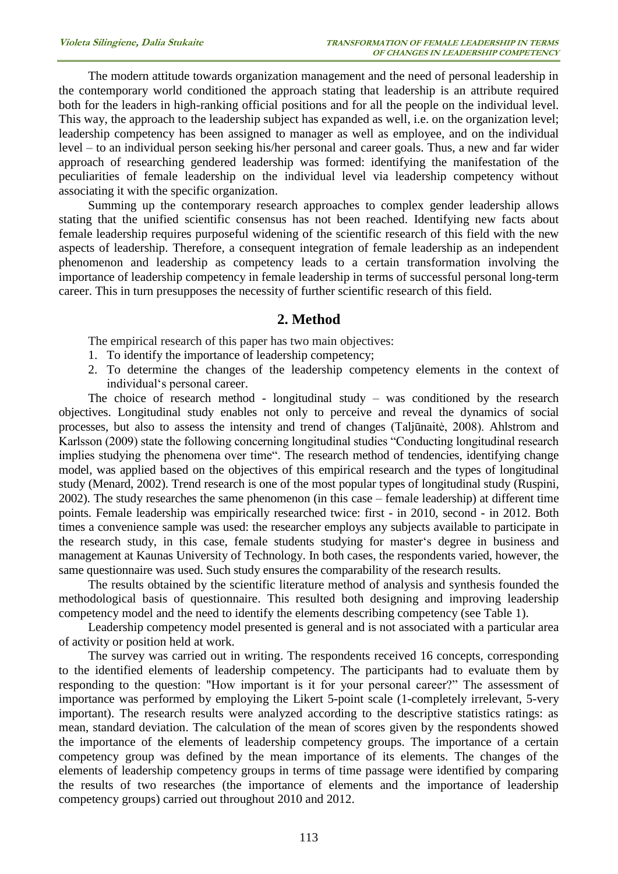The modern attitude towards organization management and the need of personal leadership in the contemporary world conditioned the approach stating that leadership is an attribute required both for the leaders in high-ranking official positions and for all the people on the individual level. This way, the approach to the leadership subject has expanded as well, i.e. on the organization level; leadership competency has been assigned to manager as well as employee, and on the individual level – to an individual person seeking his/her personal and career goals. Thus, a new and far wider approach of researching gendered leadership was formed: identifying the manifestation of the peculiarities of female leadership on the individual level via leadership competency without associating it with the specific organization.

Summing up the contemporary research approaches to complex gender leadership allows stating that the unified scientific consensus has not been reached. Identifying new facts about female leadership requires purposeful widening of the scientific research of this field with the new aspects of leadership. Therefore, a consequent integration of female leadership as an independent phenomenon and leadership as competency leads to a certain transformation involving the importance of leadership competency in female leadership in terms of successful personal long-term career. This in turn presupposes the necessity of further scientific research of this field.

#### **2. Method**

The empirical research of this paper has two main objectives:

- 1. To identify the importance of leadership competency;
- 2. To determine the changes of the leadership competency elements in the context of individual's personal career.

The choice of research method - longitudinal study – was conditioned by the research objectives. Longitudinal study enables not only to perceive and reveal the dynamics of social processes, but also to assess the intensity and trend of changes (Taljūnaitė, 2008). Ahlstrom and Karlsson (2009) state the following concerning longitudinal studies "Conducting longitudinal research implies studying the phenomena over time". The research method of tendencies, identifying change model, was applied based on the objectives of this empirical research and the types of longitudinal study (Menard, 2002). Trend research is one of the most popular types of longitudinal study (Ruspini, 2002). The study researches the same phenomenon (in this case – female leadership) at different time points. Female leadership was empirically researched twice: first - in 2010, second - in 2012. Both times a convenience sample was used: the researcher employs any subjects available to participate in the research study, in this case, female students studying for master's degree in business and management at Kaunas University of Technology. In both cases, the respondents varied, however, the same questionnaire was used. Such study ensures the comparability of the research results.

The results obtained by the scientific literature method of analysis and synthesis founded the methodological basis of questionnaire. This resulted both designing and improving leadership competency model and the need to identify the elements describing competency (see Table 1).

Leadership competency model presented is general and is not associated with a particular area of activity or position held at work.

The survey was carried out in writing. The respondents received 16 concepts, corresponding to the identified elements of leadership competency. The participants had to evaluate them by responding to the question: "How important is it for your personal career?" The assessment of importance was performed by employing the Likert 5-point scale (1-completely irrelevant, 5-very important). The research results were analyzed according to the descriptive statistics ratings: as mean, standard deviation. The calculation of the mean of scores given by the respondents showed the importance of the elements of leadership competency groups. The importance of a certain competency group was defined by the mean importance of its elements. The changes of the elements of leadership competency groups in terms of time passage were identified by comparing the results of two researches (the importance of elements and the importance of leadership competency groups) carried out throughout 2010 and 2012.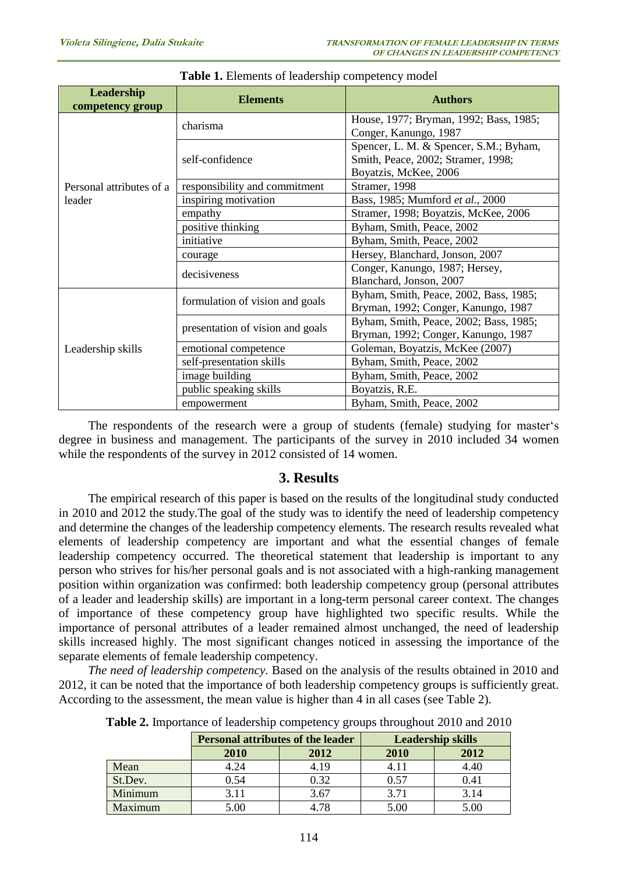| Leadership<br>competency group | <b>Elements</b>                  | <b>Authors</b>                                                                                        |
|--------------------------------|----------------------------------|-------------------------------------------------------------------------------------------------------|
|                                | charisma                         | House, 1977; Bryman, 1992; Bass, 1985;<br>Conger, Kanungo, 1987                                       |
|                                | self-confidence                  | Spencer, L. M. & Spencer, S.M.; Byham,<br>Smith, Peace, 2002; Stramer, 1998;<br>Boyatzis, McKee, 2006 |
| Personal attributes of a       | responsibility and commitment    | Stramer, 1998                                                                                         |
| leader                         | inspiring motivation             | Bass, 1985; Mumford et al., 2000                                                                      |
|                                | empathy                          | Stramer, 1998; Boyatzis, McKee, 2006                                                                  |
|                                | positive thinking                | Byham, Smith, Peace, 2002                                                                             |
|                                | initiative                       | Byham, Smith, Peace, 2002                                                                             |
|                                | courage                          | Hersey, Blanchard, Jonson, 2007                                                                       |
|                                | decisiveness                     | Conger, Kanungo, 1987; Hersey,<br>Blanchard, Jonson, 2007                                             |
| Leadership skills              | formulation of vision and goals  | Byham, Smith, Peace, 2002, Bass, 1985;<br>Bryman, 1992; Conger, Kanungo, 1987                         |
|                                | presentation of vision and goals | Byham, Smith, Peace, 2002; Bass, 1985;<br>Bryman, 1992; Conger, Kanungo, 1987                         |
|                                | emotional competence             | Goleman, Boyatzis, McKee (2007)                                                                       |
|                                | self-presentation skills         | Byham, Smith, Peace, 2002                                                                             |
|                                | image building                   | Byham, Smith, Peace, 2002                                                                             |
|                                | public speaking skills           | Boyatzis, R.E.                                                                                        |
|                                | empowerment                      | Byham, Smith, Peace, 2002                                                                             |

The respondents of the research were a group of students (female) studying for master's degree in business and management. The participants of the survey in 2010 included 34 women while the respondents of the survey in 2012 consisted of 14 women.

# **3. Results**

The empirical research of this paper is based on the results of the longitudinal study conducted in 2010 and 2012 the study.The goal of the study was to identify the need of leadership competency and determine the changes of the leadership competency elements. The research results revealed what elements of leadership competency are important and what the essential changes of female leadership competency occurred. The theoretical statement that leadership is important to any person who strives for his/her personal goals and is not associated with a high-ranking management position within organization was confirmed: both leadership competency group (personal attributes of a leader and leadership skills) are important in a long-term personal career context. The changes of importance of these competency group have highlighted two specific results. While the importance of personal attributes of a leader remained almost unchanged, the need of leadership skills increased highly. The most significant changes noticed in assessing the importance of the separate elements of female leadership competency.

*The need of leadership competency.* Based on the analysis of the results obtained in 2010 and 2012, it can be noted that the importance of both leadership competency groups is sufficiently great. According to the assessment, the mean value is higher than 4 in all cases (see Table 2).

|         | <b>Personal attributes of the leader</b> |      | <b>Leadership skills</b> |      |  |
|---------|------------------------------------------|------|--------------------------|------|--|
|         | <b>2010</b>                              | 2012 | <b>2010</b>              | 2012 |  |
| Mean    | 4.24                                     | 4.19 | 4.11                     | 4.40 |  |
| St.Dev. | 0.54                                     | 0.32 | 0.57                     | 0.41 |  |
| Minimum | 3.11                                     | 3.67 | 3.71                     | 3.14 |  |
| Maximum | 5.00                                     | 4 78 | 5.00                     | 5.00 |  |

**Table 2.** Importance of leadership competency groups throughout 2010 and 2010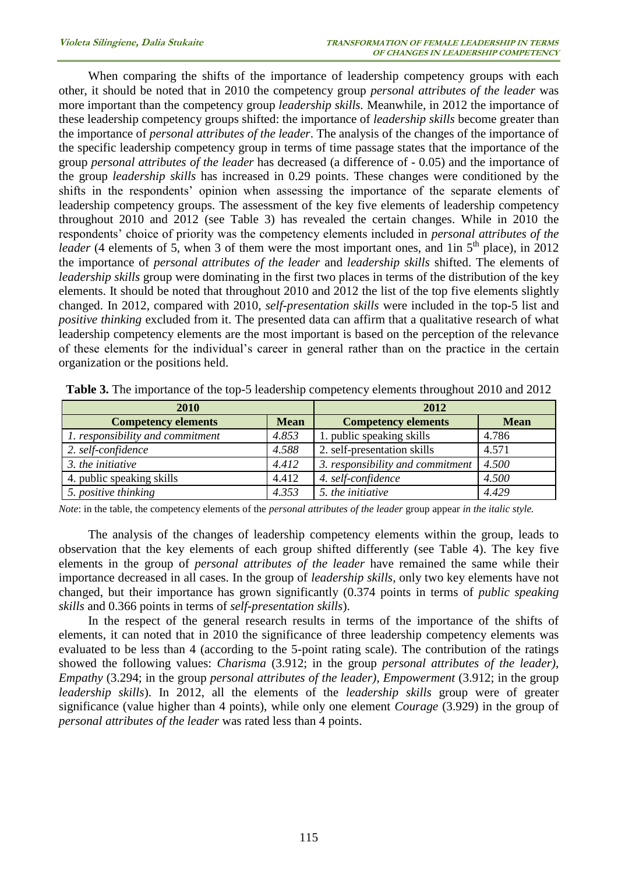When comparing the shifts of the importance of leadership competency groups with each other, it should be noted that in 2010 the competency group *personal attributes of the leader* was more important than the competency group *leadership skills.* Meanwhile*,* in 2012 the importance of these leadership competency groups shifted: the importance of *leadership skills* become greater than the importance of *personal attributes of the leader*. The analysis of the changes of the importance of the specific leadership competency group in terms of time passage states that the importance of the group *personal attributes of the leader* has decreased (a difference of - 0.05) and the importance of the group *leadership skills* has increased in 0.29 points. These changes were conditioned by the shifts in the respondents' opinion when assessing the importance of the separate elements of leadership competency groups. The assessment of the key five elements of leadership competency throughout 2010 and 2012 (see Table 3) has revealed the certain changes. While in 2010 the respondents' choice of priority was the competency elements included in *personal attributes of the leader* (4 elements of 5, when 3 of them were the most important ones, and 1in  $5<sup>th</sup>$  place), in 2012 the importance of *personal attributes of the leader* and *leadership skills* shifted. The elements of *leadership skills* group were dominating in the first two places in terms of the distribution of the key elements. It should be noted that throughout 2010 and 2012 the list of the top five elements slightly changed. In 2012, compared with 2010, *self-presentation skills* were included in the top-5 list and *positive thinking* excluded from it. The presented data can affirm that a qualitative research of what leadership competency elements are the most important is based on the perception of the relevance of these elements for the individual's career in general rather than on the practice in the certain organization or the positions held.

| <b>2010</b>                      |             | 2012                             |             |
|----------------------------------|-------------|----------------------------------|-------------|
| <b>Competency elements</b>       | <b>Mean</b> | <b>Competency elements</b>       | <b>Mean</b> |
| 1. responsibility and commitment | 4.853       | 1. public speaking skills        | 4.786       |
| 2. self-confidence               | 4.588       | 2. self-presentation skills      | 4.571       |
| 3. the initiative                | 4.412       | 3. responsibility and commitment | 4.500       |
| 4. public speaking skills        | 4.412       | 4. self-confidence               | 4.500       |
| 5. positive thinking             | 4.353       | 5. the initiative                | 4.429       |

**Table 3.** The importance of the top-5 leadership competency elements throughout 2010 and 2012

*Note*: in the table, the competency elements of the *personal attributes of the leader* group appear *in the italic style.*

The analysis of the changes of leadership competency elements within the group, leads to observation that the key elements of each group shifted differently (see Table 4). The key five elements in the group of *personal attributes of the leader* have remained the same while their importance decreased in all cases. In the group of *leadership skills,* only two key elements have not changed, but their importance has grown significantly (0.374 points in terms of *public speaking skills* and 0.366 points in terms of *self-presentation skills*).

In the respect of the general research results in terms of the importance of the shifts of elements, it can noted that in 2010 the significance of three leadership competency elements was evaluated to be less than 4 (according to the 5-point rating scale). The contribution of the ratings showed the following values: *Charisma* (3.912; in the group *personal attributes of the leader)*, *Empathy* (3.294; in the group *personal attributes of the leader)*, *Empowerment* (3.912; in the group *leadership skills*). In 2012, all the elements of the *leadership skills* group were of greater significance (value higher than 4 points), while only one element *Courage* (3.929) in the group of *personal attributes of the leader* was rated less than 4 points.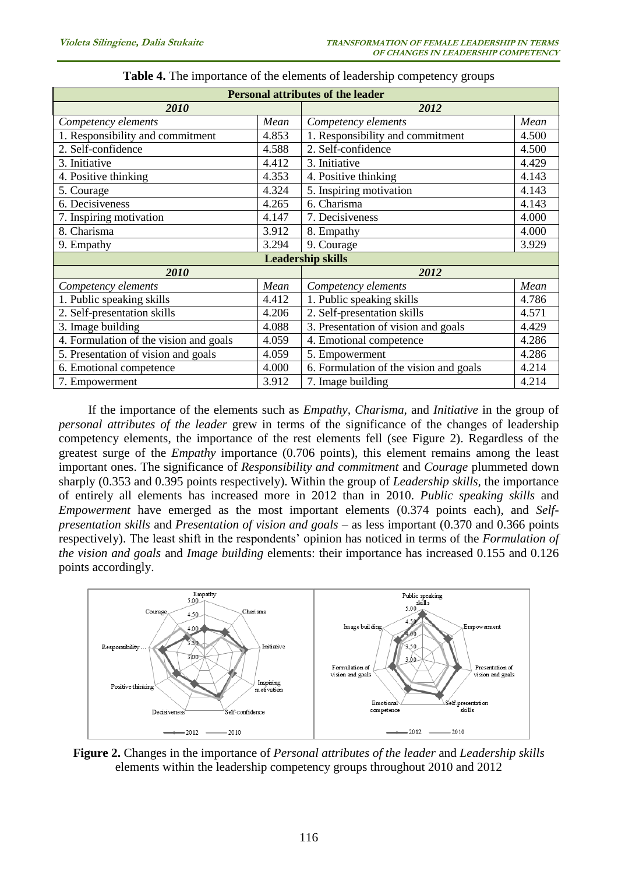| <b>Personal attributes of the leader</b>        |       |                                        |       |  |  |
|-------------------------------------------------|-------|----------------------------------------|-------|--|--|
| 2010                                            |       | 2012                                   |       |  |  |
| Competency elements<br>Mean                     |       | Competency elements                    | Mean  |  |  |
| 1. Responsibility and commitment                | 4.853 | 1. Responsibility and commitment       | 4.500 |  |  |
| 2. Self-confidence                              | 4.588 | 2. Self-confidence                     | 4.500 |  |  |
| 3. Initiative                                   | 4.412 | 3. Initiative                          | 4.429 |  |  |
| 4. Positive thinking                            | 4.353 | 4. Positive thinking                   | 4.143 |  |  |
| 5. Courage                                      | 4.324 | 5. Inspiring motivation                | 4.143 |  |  |
| 6. Decisiveness                                 | 4.265 | 6. Charisma                            | 4.143 |  |  |
| 7. Inspiring motivation                         | 4.147 | 7. Decisiveness                        | 4.000 |  |  |
| 8. Charisma                                     | 3.912 | 8. Empathy                             | 4.000 |  |  |
| 9. Empathy                                      | 3.294 | 9. Courage                             | 3.929 |  |  |
| <b>Leadership skills</b>                        |       |                                        |       |  |  |
| 2010                                            |       | 2012                                   |       |  |  |
| Competency elements                             | Mean  | Competency elements                    | Mean  |  |  |
| 1. Public speaking skills                       | 4.412 | 1. Public speaking skills              | 4.786 |  |  |
| 2. Self-presentation skills                     | 4.206 | 2. Self-presentation skills            | 4.571 |  |  |
| 3. Image building                               | 4.088 | 3. Presentation of vision and goals    | 4.429 |  |  |
| 4. Formulation of the vision and goals<br>4.059 |       | 4. Emotional competence                | 4.286 |  |  |
| 5. Presentation of vision and goals<br>4.059    |       | 5. Empowerment                         | 4.286 |  |  |
| 6. Emotional competence<br>4.000                |       | 6. Formulation of the vision and goals | 4.214 |  |  |
| 3.912<br>7. Empowerment                         |       | 7. Image building                      | 4.214 |  |  |

| <b>Table 4.</b> The importance of the elements of leadership competency groups |  |  |
|--------------------------------------------------------------------------------|--|--|
|--------------------------------------------------------------------------------|--|--|

If the importance of the elements such as *Empathy, Charisma,* and *Initiative* in the group of *personal attributes of the leader* grew in terms of the significance of the changes of leadership competency elements, the importance of the rest elements fell (see Figure 2). Regardless of the greatest surge of the *Empathy* importance (0.706 points), this element remains among the least important ones. The significance of *Responsibility and commitment* and *Courage* plummeted down sharply (0.353 and 0.395 points respectively). Within the group of *Leadership skills,* the importance of entirely all elements has increased more in 2012 than in 2010. *Public speaking skills* and *Empowerment* have emerged as the most important elements (0.374 points each), and *Selfpresentation skills* and *Presentation of vision and goals* – as less important (0.370 and 0.366 points respectively). The least shift in the respondents' opinion has noticed in terms of the *Formulation of the vision and goals* and *Image building* elements: their importance has increased 0.155 and 0.126 points accordingly.



**Figure 2.** Changes in the importance of *Personal attributes of the leader* and *Leadership skills*  elements within the leadership competency groups throughout 2010 and 2012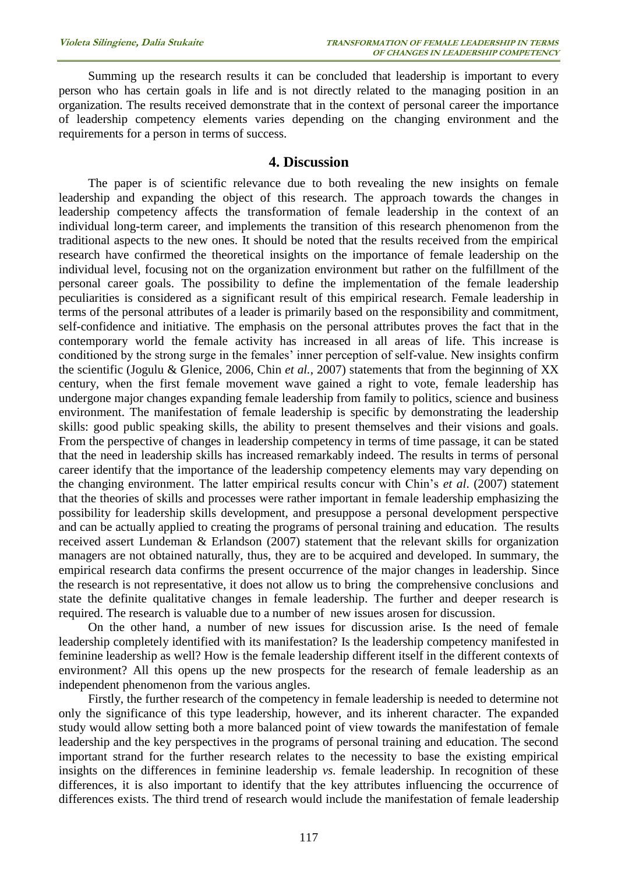Summing up the research results it can be concluded that leadership is important to every person who has certain goals in life and is not directly related to the managing position in an organization. The results received demonstrate that in the context of personal career the importance of leadership competency elements varies depending on the changing environment and the requirements for a person in terms of success.

## **4. Discussion**

The paper is of scientific relevance due to both revealing the new insights on female leadership and expanding the object of this research. The approach towards the changes in leadership competency affects the transformation of female leadership in the context of an individual long-term career, and implements the transition of this research phenomenon from the traditional aspects to the new ones. It should be noted that the results received from the empirical research have confirmed the theoretical insights on the importance of female leadership on the individual level, focusing not on the organization environment but rather on the fulfillment of the personal career goals. The possibility to define the implementation of the female leadership peculiarities is considered as a significant result of this empirical research. Female leadership in terms of the personal attributes of a leader is primarily based on the responsibility and commitment, self-confidence and initiative. The emphasis on the personal attributes proves the fact that in the contemporary world the female activity has increased in all areas of life. This increase is conditioned by the strong surge in the females' inner perception of self-value. New insights confirm the scientific (Jogulu & Glenice, 2006, Chin *et al.*, 2007) statements that from the beginning of XX century, when the first female movement wave gained a right to vote, female leadership has undergone major changes expanding female leadership from family to politics, science and business environment. The manifestation of female leadership is specific by demonstrating the leadership skills: good public speaking skills, the ability to present themselves and their visions and goals. From the perspective of changes in leadership competency in terms of time passage, it can be stated that the need in leadership skills has increased remarkably indeed. The results in terms of personal career identify that the importance of the leadership competency elements may vary depending on the changing environment. The latter empirical results concur with Chin's *et al*. (2007) statement that the theories of skills and processes were rather important in female leadership emphasizing the possibility for leadership skills development, and presuppose a personal development perspective and can be actually applied to creating the programs of personal training and education. The results received assert Lundeman & Erlandson (2007) statement that the relevant skills for organization managers are not obtained naturally, thus, they are to be acquired and developed. In summary, the empirical research data confirms the present occurrence of the major changes in leadership. Since the research is not representative, it does not allow us to bring the comprehensive conclusions and state the definite qualitative changes in female leadership. The further and deeper research is required. The research is valuable due to a number of new issues arosen for discussion.

On the other hand, a number of new issues for discussion arise. Is the need of female leadership completely identified with its manifestation? Is the leadership competency manifested in feminine leadership as well? How is the female leadership different itself in the different contexts of environment? All this opens up the new prospects for the research of female leadership as an independent phenomenon from the various angles.

Firstly, the further research of the competency in female leadership is needed to determine not only the significance of this type leadership, however, and its inherent character. The expanded study would allow setting both a more balanced point of view towards the manifestation of female leadership and the key perspectives in the programs of personal training and education. The second important strand for the further research relates to the necessity to base the existing empirical insights on the differences in feminine leadership *vs.* female leadership. In recognition of these differences, it is also important to identify that the key attributes influencing the occurrence of differences exists. The third trend of research would include the manifestation of female leadership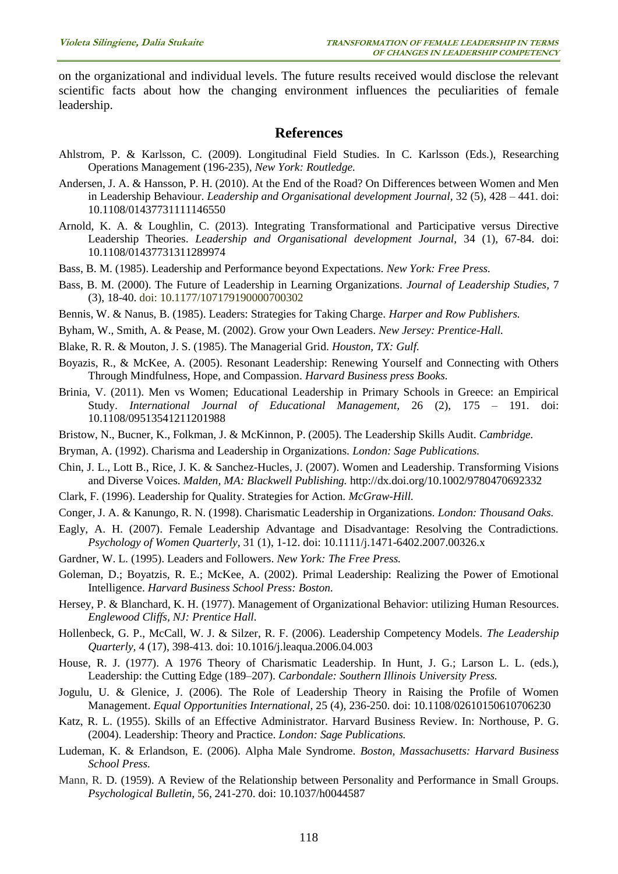on the organizational and individual levels. The future results received would disclose the relevant scientific facts about how the changing environment influences the peculiarities of female leadership.

# **References**

- Ahlstrom, P. & Karlsson, C. (2009). Longitudinal Field Studies. In C. Karlsson (Eds.), Researching Operations Management (196-235), *New York: Routledge.*
- Andersen, J. A. & Hansson, P. H. (2010). At the End of the Road? On Differences between Women and Men in Leadership Behaviour. *Leadership and Organisational development Journal,* 32 (5), 428 – 441. doi: [10.1108/01437731111146550](http://dx.doi.org/10.1108/01437731111146550)
- Arnold, K. A. & Loughlin, C. (2013). Integrating Transformational and Participative versus Directive Leadership Theories. *Leadership and Organisational development Journal,* 34 (1), 67-84. doi: [10.1108/01437731311289974](http://dx.doi.org/10.1108/01437731311289974)
- Bass, B. M. (1985). Leadership and Performance beyond Expectations. *New York: Free Press.*
- Bass, B. M. (2000). The Future of Leadership in Learning Organizations. *Journal of Leadership Studies,* 7 (3), 18-40. doi: 10.1177/107179190000700302
- Bennis, W. & Nanus, B. (1985). Leaders: Strategies for Taking Charge. *Harper and Row Publishers.*
- Byham, W., Smith, A. & Pease, M. (2002). Grow your Own Leaders. *New Jersey: Prentice-Hall.*
- Blake, R. R. & Mouton, J. S. (1985). The Managerial Grid. *Houston, TX: Gulf.*
- Boyazis, R., & McKee, A. (2005). Resonant Leadership: Renewing Yourself and Connecting with Others Through Mindfulness, Hope, and Compassion. *Harvard Business press Books.*
- Brinia, V. (2011). Men vs Women; Educational Leadership in Primary Schools in Greece: an Empirical Study. *International Journal of Educational Management,* 26 (2), 175 – 191. doi: 10.1108/09513541211201988
- Bristow, N., Bucner, K., Folkman, J. & McKinnon, P. (2005). The Leadership Skills Audit. *Cambridge.*
- Bryman, A. (1992). Charisma and Leadership in Organizations. *London: Sage Publications.*
- Chin, J. L., Lott B., Rice, J. K. & Sanchez-Hucles, J. (2007). Women and Leadership. Transforming Visions and Diverse Voices. *Malden, MA: Blackwell Publishing.* <http://dx.doi.org/10.1002/9780470692332>
- Clark, F. (1996). Leadership for Quality. Strategies for Action. *McGraw-Hill.*
- Conger, J. A. & Kanungo, R. N. (1998). Charismatic Leadership in Organizations. *London: Thousand Oaks.*
- Eagly, A. H. (2007). Female Leadership Advantage and Disadvantage: Resolving the Contradictions. *Psychology of Women Quarterly,* 31 (1), 1-12. doi: 10.1111/j.1471-6402.2007.00326.x
- Gardner, W. L. (1995). Leaders and Followers. *New York: The Free Press.*
- Goleman, D.; Boyatzis, R. E.; McKee, A. (2002). Primal Leadership: Realizing the Power of Emotional Intelligence. *Harvard Business School Press: Boston.*
- Hersey, P. & Blanchard, K. H. (1977). Management of Organizational Behavior: utilizing Human Resources. *Englewood Cliffs, NJ: Prentice Hall.*
- Hollenbeck, G. P., McCall, W. J. & Silzer, R. F. (2006). Leadership Competency Models. *The Leadership Quarterly,* 4 (17), 398-413. doi: 10.1016/j.leaqua.2006.04.003
- House, R. J. (1977). A 1976 Theory of Charismatic Leadership. In Hunt, J. G.; Larson L. L. (eds.), Leadership: the Cutting Edge (189–207). *Carbondale: Southern Illinois University Press.*
- Jogulu, U. & Glenice, J. (2006). The Role of Leadership Theory in Raising the Profile of Women Management. *Equal Opportunities International,* 25 (4), 236-250. doi: [10.1108/02610150610706230](http://dx.doi.org/10.1108/02610150610706230)
- Katz, R. L. (1955). Skills of an Effective Administrator. Harvard Business Review. In: Northouse, P. G. (2004). Leadership: Theory and Practice. *London: Sage Publications.*
- Ludeman, K. & Erlandson, E. (2006). Alpha Male Syndrome. *Boston, Massachusetts: Harvard Business School Press.*
- Mann, R. D. (1959). A Review of the Relationship between Personality and Performance in Small Groups. *Psychological Bulletin,* 56, 241-270. doi: [10.1037/h0044587](http://psycnet.apa.org/doi/10.1037/h0044587)